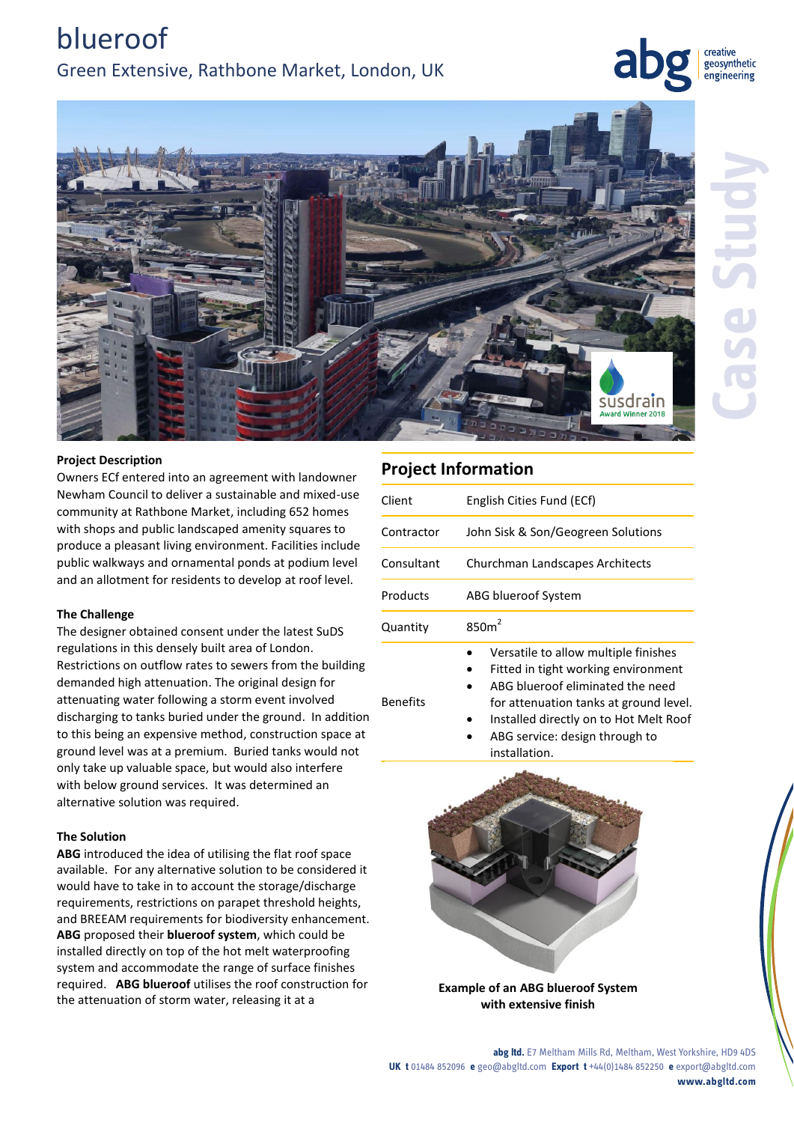creative geosynthetic engineering



### **Project Description**

Owners ECf entered into an agreement with landowner Newham Council to deliver a sustainable and mixed-use community at Rathbone Market, including 652 homes with shops and public landscaped amenity squares to produce a pleasant living environment. Facilities include public walkways and ornamental ponds at podium level and an allotment for residents to develop at roof level.

#### **The Challenge**

The designer obtained consent under the latest SuDS regulations in this densely built area of London. Restrictions on outflow rates to sewers from the building demanded high attenuation. The original design for attenuating water following a storm event involved discharging to tanks buried under the ground. In addition to this being an expensive method, construction space at ground level was at a premium. Buried tanks would not only take up valuable space, but would also interfere with below ground services. It was determined an alternative solution was required.

#### **The Solution**

**ABG** introduced the idea of utilising the flat roof space available. For any alternative solution to be considered it would have to take in to account the storage/discharge requirements, restrictions on parapet threshold heights, and BREEAM requirements for biodiversity enhancement. **ABG** proposed their **blueroof system**, which could be installed directly on top of the hot melt waterproofing system and accommodate the range of surface finishes required. **ABG blueroof** utilises the roof construction for the attenuation of storm water, releasing it at a

## **Project Information**

Benefits

| Client     | English Cities Fund (ECf)            |
|------------|--------------------------------------|
| Contractor | John Sisk & Son/Geogreen Solutions   |
| Consultant | Churchman Landscapes Architects      |
| Products   | ABG blueroof System                  |
| Quantity   | 850m <sup>2</sup>                    |
|            | Versatile to allow multiple finishes |

- 
- Fitted in tight working environment ABG blueroof eliminated the need
- for attenuation tanks at ground level.
- Installed directly on to Hot Melt Roof
- ABG service: design through to installation.



**Example of an ABG blueroof System with extensive finish**